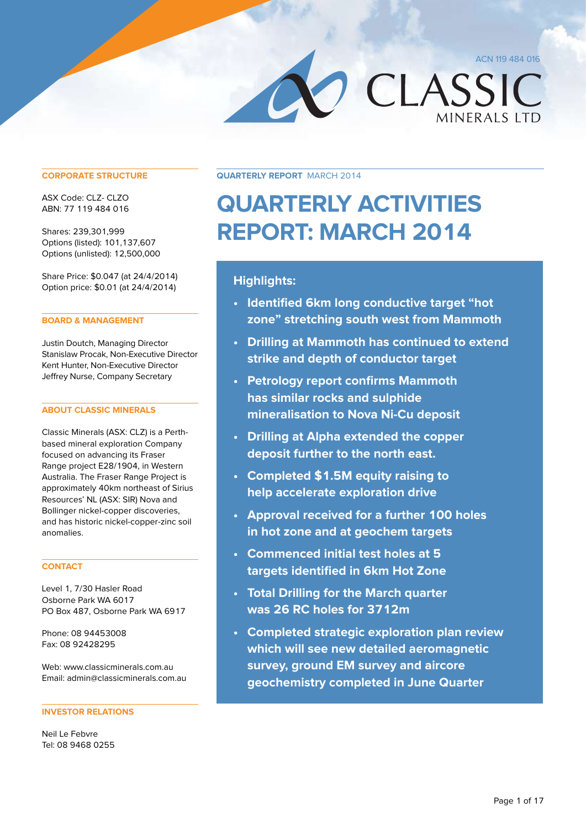**MINERALS LTD** 

CLASSIC

**CORPORATE STRUCTURE**

ASX Code: CLZ- CLZO ABN: 77 119 484 016

Shares: 239,301,999 Options (listed): 101,137,607 Options (unlisted): 12,500,000

Share Price: \$0.047 (at 24/4/2014) Option price: \$0.01 (at 24/4/2014)

#### **BOARD & MANAGEMENT**

Justin Doutch, Managing Director Stanislaw Procak, Non-Executive Director Kent Hunter, Non-Executive Director Jeffrey Nurse, Company Secretary

#### **ABOUT CLASSIC MINERALS**

Classic Minerals (ASX: CLZ) is a Perthbased mineral exploration Company focused on advancing its Fraser Range project E28/1904, in Western Australia. The Fraser Range Project is approximately 40km northeast of Sirius Resources' NL (ASX: SIR) Nova and Bollinger nickel-copper discoveries, and has historic nickel-copper-zinc soil anomalies.

#### **CONTACT**

Level 1, 7/30 Hasler Road Osborne Park WA 6017 PO Box 487, Osborne Park WA 6917

Phone: 08 94453008 Fax: 08 92428295

Web: www.classicminerals.com.au Email: admin@classicminerals.com.au

#### **INVESTOR RELATIONS**

Neil Le Febvre Tel: 08 9468 0255 **Quarterly Report** March 2014

#### **QUARTERLY ACTIVITIES REPORT: March 2014**

#### **Highlights:**

- **• Identified 6km long conductive target "hot zone" stretching south west from Mammoth**
- **• Drilling at Mammoth has continued to extend strike and depth of conductor target**
- **• Petrology report confirms Mammoth has similar rocks and sulphide mineralisation to Nova Ni-Cu deposit**
- **• Drilling at Alpha extended the copper deposit further to the north east.**
- **• Completed \$1.5M equity raising to help accelerate exploration drive**
- **• Approval received for a further 100 holes in hot zone and at geochem targets**
- **• Commenced initial test holes at 5 targets identified in 6km Hot Zone**
- **• Total Drilling for the March quarter was 26 RC holes for 3712m**
- **• Completed strategic exploration plan review which will see new detailed aeromagnetic survey, ground EM survey and aircore geochemistry completed in June Quarter**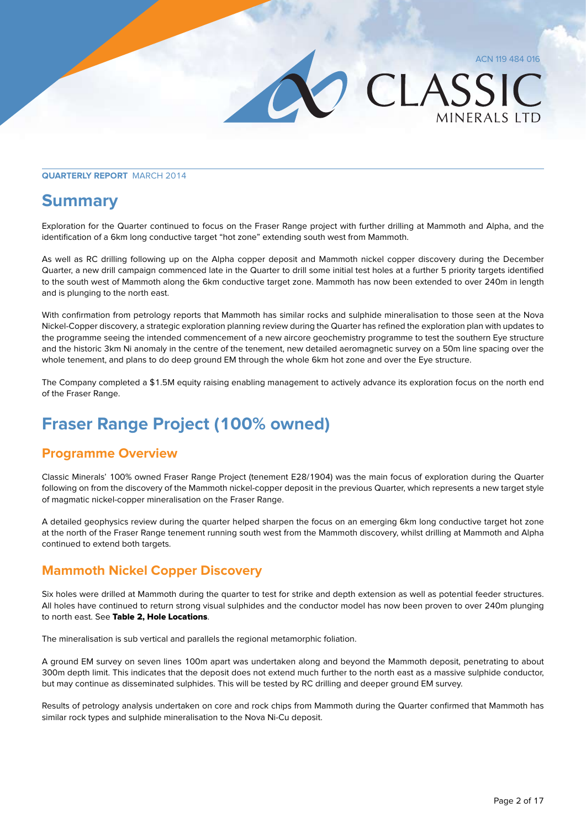MINFRAIS ITD

CLASSIC

#### **Quarterly Report** March 2014

#### **Summary**

Exploration for the Quarter continued to focus on the Fraser Range project with further drilling at Mammoth and Alpha, and the identification of a 6km long conductive target "hot zone" extending south west from Mammoth.

As well as RC drilling following up on the Alpha copper deposit and Mammoth nickel copper discovery during the December Quarter, a new drill campaign commenced late in the Quarter to drill some initial test holes at a further 5 priority targets identified to the south west of Mammoth along the 6km conductive target zone. Mammoth has now been extended to over 240m in length and is plunging to the north east.

With confirmation from petrology reports that Mammoth has similar rocks and sulphide mineralisation to those seen at the Nova Nickel-Copper discovery, a strategic exploration planning review during the Quarter has refined the exploration plan with updates to the programme seeing the intended commencement of a new aircore geochemistry programme to test the southern Eye structure and the historic 3km Ni anomaly in the centre of the tenement, new detailed aeromagnetic survey on a 50m line spacing over the whole tenement, and plans to do deep ground EM through the whole 6km hot zone and over the Eye structure.

The Company completed a \$1.5M equity raising enabling management to actively advance its exploration focus on the north end of the Fraser Range.

#### **Fraser Range Project (100% owned)**

#### **Programme Overview**

Classic Minerals' 100% owned Fraser Range Project (tenement E28/1904) was the main focus of exploration during the Quarter following on from the discovery of the Mammoth nickel-copper deposit in the previous Quarter, which represents a new target style of magmatic nickel-copper mineralisation on the Fraser Range.

A detailed geophysics review during the quarter helped sharpen the focus on an emerging 6km long conductive target hot zone at the north of the Fraser Range tenement running south west from the Mammoth discovery, whilst drilling at Mammoth and Alpha continued to extend both targets.

#### **Mammoth Nickel Copper Discovery**

Six holes were drilled at Mammoth during the quarter to test for strike and depth extension as well as potential feeder structures. All holes have continued to return strong visual sulphides and the conductor model has now been proven to over 240m plunging to north east. See Table 2, Hole Locations.

The mineralisation is sub vertical and parallels the regional metamorphic foliation.

A ground EM survey on seven lines 100m apart was undertaken along and beyond the Mammoth deposit, penetrating to about 300m depth limit. This indicates that the deposit does not extend much further to the north east as a massive sulphide conductor, but may continue as disseminated sulphides. This will be tested by RC drilling and deeper ground EM survey.

Results of petrology analysis undertaken on core and rock chips from Mammoth during the Quarter confirmed that Mammoth has similar rock types and sulphide mineralisation to the Nova Ni-Cu deposit.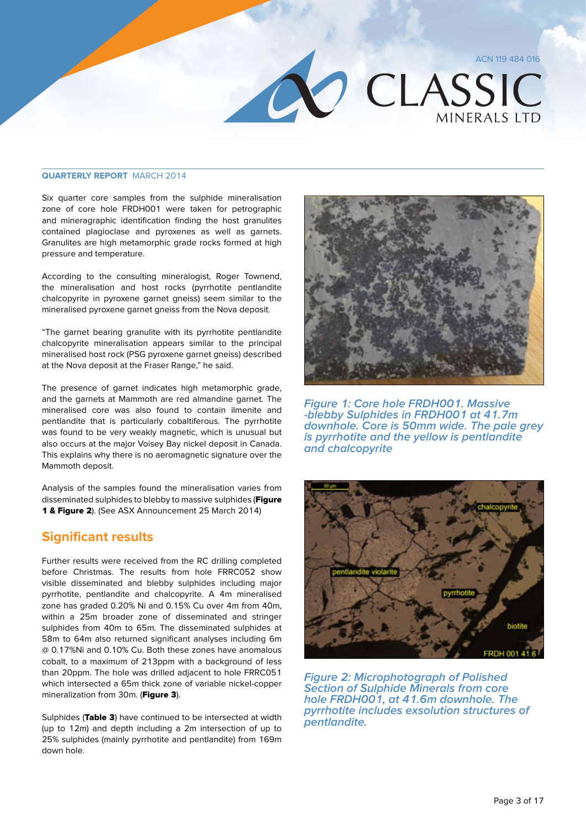### **OLASSIC MINFRAIS ITD**

#### **Quarterly Report** March 2014

Six quarter core samples from the sulphide mineralisation zone of core hole FRDH001 were taken for petrographic and mineragraphic identification finding the host granulites contained plagioclase and pyroxenes as well as garnets. Granulites are high metamorphic grade rocks formed at high pressure and temperature.

According to the consulting mineralogist, Roger Townend, the mineralisation and host rocks (pyrrhotite pentlandite chalcopyrite in pyroxene garnet gneiss) seem similar to the mineralised pyroxene garnet gneiss from the Nova deposit.

"The garnet bearing granulite with its pyrrhotite pentlandite chalcopyrite mineralisation appears similar to the principal mineralised host rock (PSG pyroxene garnet gneiss) described at the Nova deposit at the Fraser Range," he said.

The presence of garnet indicates high metamorphic grade, and the garnets at Mammoth are red almandine garnet. The mineralised core was also found to contain ilmenite and pentlandite that is particularly cobaltiferous. The pyrrhotite was found to be very weakly magnetic, which is unusual but also occurs at the major Voisey Bay nickel deposit in Canada. This explains why there is no aeromagnetic signature over the Mammoth deposit.

Analysis of the samples found the mineralisation varies from disseminated sulphides to blebby to massive sulphides (Figure 1 & Figure 2). (See ASX Announcement 25 March 2014)

#### **Significant results**

Further results were received from the RC drilling completed before Christmas. The results from hole FRRC052 show visible disseminated and blebby sulphides including major pyrrhotite, pentlandite and chalcopyrite. A 4m mineralised zone has graded 0.20% Ni and 0.15% Cu over 4m from 40m, within a 25m broader zone of disseminated and stringer sulphides from 40m to 65m. The disseminated sulphides at 58m to 64m also returned significant analyses including 6m @ 0.17%Ni and 0.10% Cu. Both these zones have anomalous cobalt, to a maximum of 213ppm with a background of less than 20ppm. The hole was drilled adjacent to hole FRRC051 which intersected a 65m thick zone of variable nickel-copper mineralization from 30m. (Figure 3).

Sulphides (Table 3) have continued to be intersected at width (up to 12m) and depth including a 2m intersection of up to 25% sulphides (mainly pyrrhotite and pentlandite) from 169m down hole.



**Figure 1: Core hole FRDH001. Massive -blebby Sulphides in FRDH001 at 41.7m downhole. Core is 50mm wide. The pale grey is pyrrhotite and the yellow is pentlandite and chalcopyrite**



**Figure 2: Microphotograph of Polished Section of Sulphide Minerals from core hole FRDH001, at 41.6m downhole. The pyrrhotite includes exsolution structures of pentlandite.**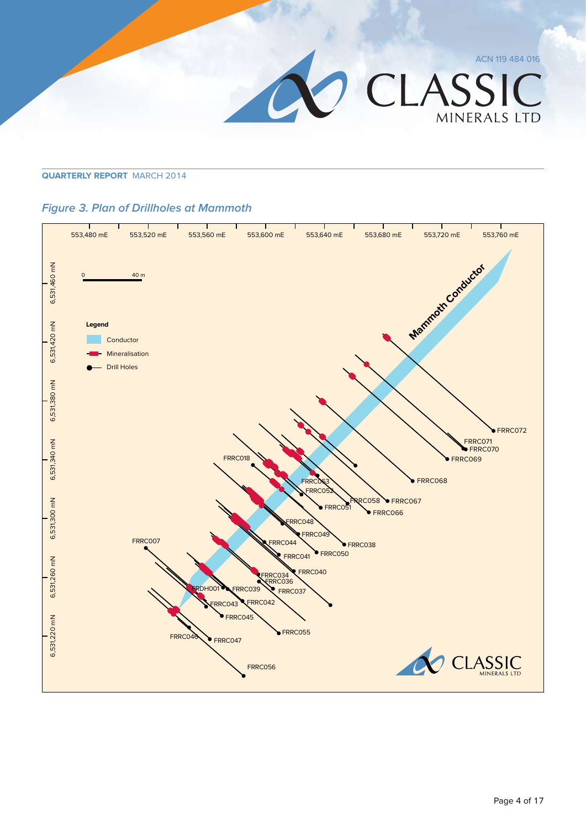

#### **Figure 3. Plan of Drillholes at Mammoth**

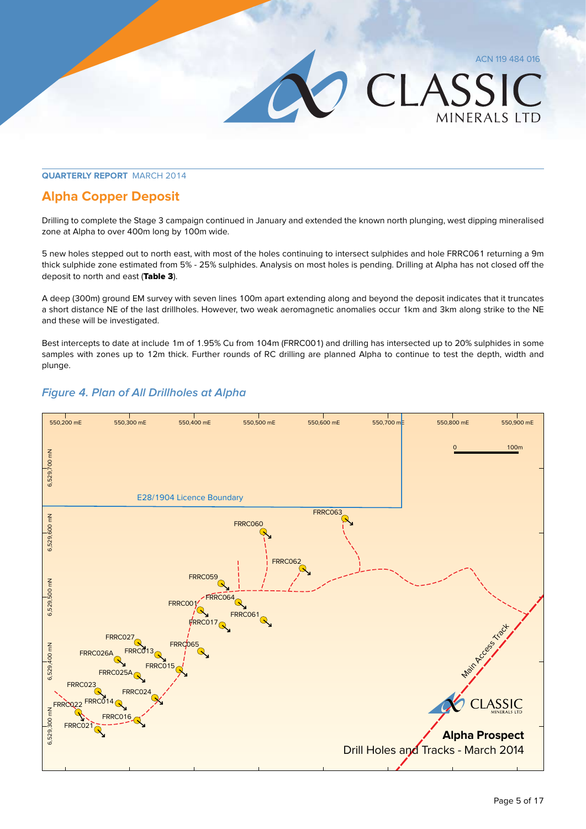LASSIC

**MINFRALS LTD** 

#### **Quarterly Report** March 2014

#### **Alpha Copper Deposit**

Drilling to complete the Stage 3 campaign continued in January and extended the known north plunging, west dipping mineralised zone at Alpha to over 400m long by 100m wide.

5 new holes stepped out to north east, with most of the holes continuing to intersect sulphides and hole FRRC061 returning a 9m thick sulphide zone estimated from 5% - 25% sulphides. Analysis on most holes is pending. Drilling at Alpha has not closed off the deposit to north and east (Table 3).

A deep (300m) ground EM survey with seven lines 100m apart extending along and beyond the deposit indicates that it truncates a short distance NE of the last drillholes. However, two weak aeromagnetic anomalies occur 1km and 3km along strike to the NE and these will be investigated.

Best intercepts to date at include 1m of 1.95% Cu from 104m (FRRC001) and drilling has intersected up to 20% sulphides in some samples with zones up to 12m thick. Further rounds of RC drilling are planned Alpha to continue to test the depth, width and plunge.



#### **Figure 4. Plan of All Drillholes at Alpha**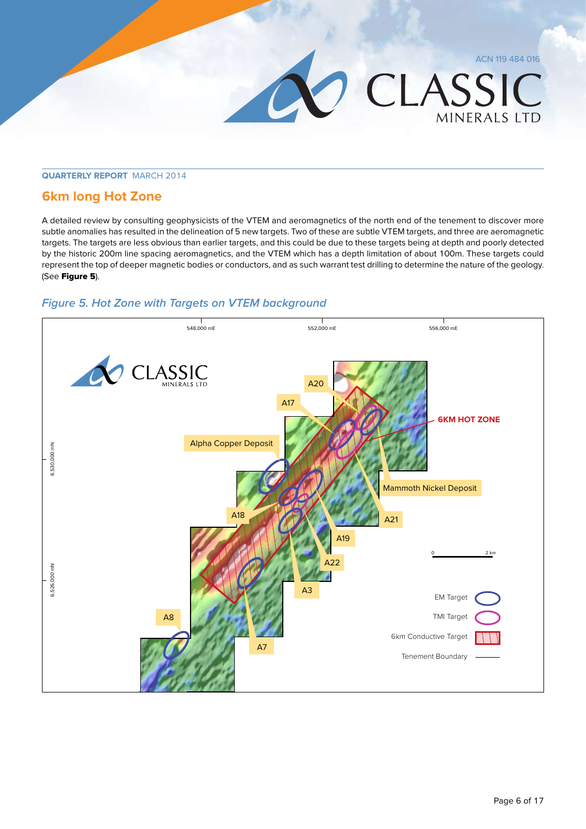#### **6km long Hot Zone**

A detailed review by consulting geophysicists of the VTEM and aeromagnetics of the north end of the tenement to discover more subtle anomalies has resulted in the delineation of 5 new targets. Two of these are subtle VTEM targets, and three are aeromagnetic targets. The targets are less obvious than earlier targets, and this could be due to these targets being at depth and poorly detected by the historic 200m line spacing aeromagnetics, and the VTEM which has a depth limitation of about 100m. These targets could represent the top of deeper magnetic bodies or conductors, and as such warrant test drilling to determine the nature of the geology. (See Figure 5).

#### **Figure 5. Hot Zone with Targets on VTEM background**



ACN 119 484 016

MINERALS LTD

CLASSIC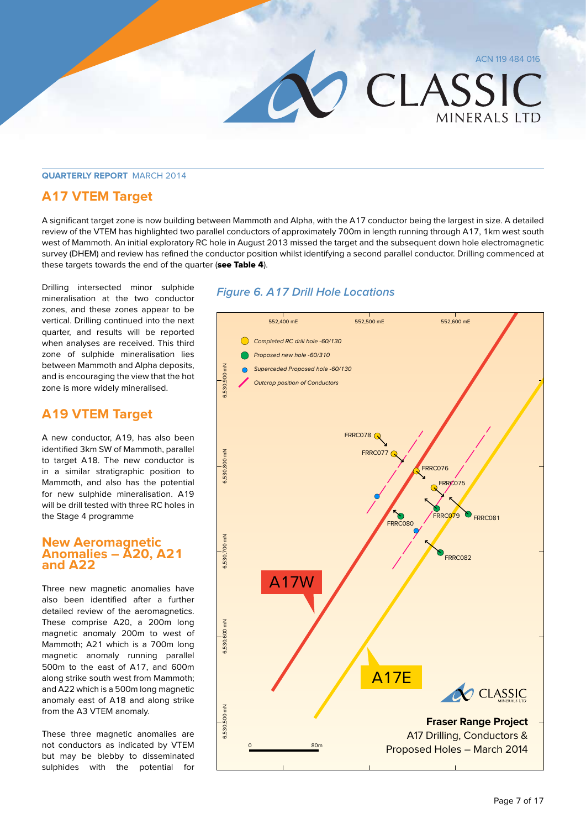#### **A17 VTEM Target**

A significant target zone is now building between Mammoth and Alpha, with the A17 conductor being the largest in size. A detailed review of the VTEM has highlighted two parallel conductors of approximately 700m in length running through A17, 1km west south west of Mammoth. An initial exploratory RC hole in August 2013 missed the target and the subsequent down hole electromagnetic survey (DHEM) and review has refined the conductor position whilst identifying a second parallel conductor. Drilling commenced at these targets towards the end of the quarter (see Table 4).

Drilling intersected minor sulphide mineralisation at the two conductor zones, and these zones appear to be vertical. Drilling continued into the next quarter, and results will be reported when analyses are received. This third zone of sulphide mineralisation lies between Mammoth and Alpha deposits, and is encouraging the view that the hot zone is more widely mineralised.

#### **A19 VTEM Target**

A new conductor, A19, has also been identified 3km SW of Mammoth, parallel to target A18. The new conductor is in a similar stratigraphic position to Mammoth, and also has the potential for new sulphide mineralisation. A19 will be drill tested with three RC holes in the Stage 4 programme

#### **New Aeromagnetic Anomalies – A20, A21 and A22**

Three new magnetic anomalies have also been identified after a further detailed review of the aeromagnetics. These comprise A20, a 200m long magnetic anomaly 200m to west of Mammoth; A21 which is a 700m long magnetic anomaly running parallel 500m to the east of A17, and 600m along strike south west from Mammoth; and A22 which is a 500m long magnetic anomaly east of A18 and along strike from the A3 VTEM anomaly.

These three magnetic anomalies are not conductors as indicated by VTEM but may be blebby to disseminated sulphides with the potential for

#### **Figure 6. A17 Drill Hole Locations**



ACN 119 484 016

**MINFRALS LTD** 

CLASSIC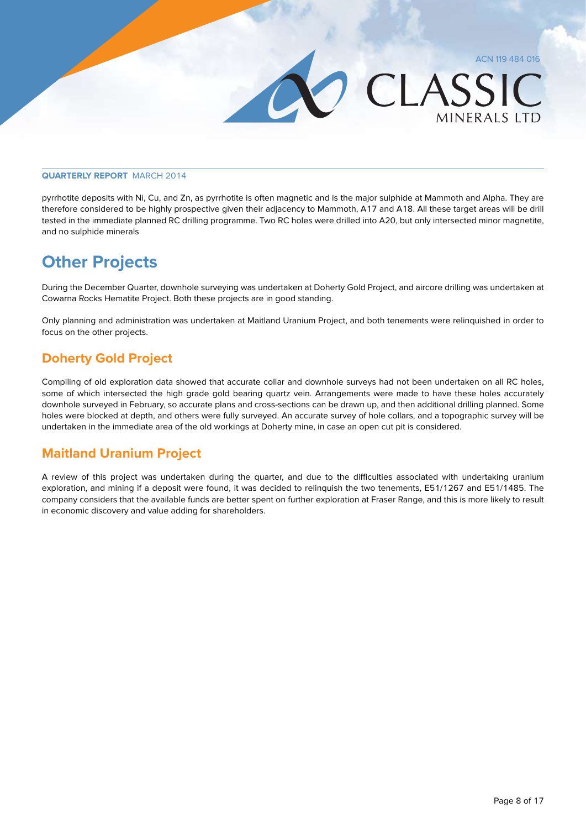pyrrhotite deposits with Ni, Cu, and Zn, as pyrrhotite is often magnetic and is the major sulphide at Mammoth and Alpha. They are therefore considered to be highly prospective given their adjacency to Mammoth, A17 and A18. All these target areas will be drill tested in the immediate planned RC drilling programme. Two RC holes were drilled into A20, but only intersected minor magnetite, and no sulphide minerals

#### **Other Projects**

During the December Quarter, downhole surveying was undertaken at Doherty Gold Project, and aircore drilling was undertaken at Cowarna Rocks Hematite Project. Both these projects are in good standing.

Only planning and administration was undertaken at Maitland Uranium Project, and both tenements were relinquished in order to focus on the other projects.

#### **Doherty Gold Project**

Compiling of old exploration data showed that accurate collar and downhole surveys had not been undertaken on all RC holes, some of which intersected the high grade gold bearing quartz vein. Arrangements were made to have these holes accurately downhole surveyed in February, so accurate plans and cross-sections can be drawn up, and then additional drilling planned. Some holes were blocked at depth, and others were fully surveyed. An accurate survey of hole collars, and a topographic survey will be undertaken in the immediate area of the old workings at Doherty mine, in case an open cut pit is considered.

#### **Maitland Uranium Project**

A review of this project was undertaken during the quarter, and due to the difficulties associated with undertaking uranium exploration, and mining if a deposit were found, it was decided to relinquish the two tenements, E51/1267 and E51/1485. The company considers that the available funds are better spent on further exploration at Fraser Range, and this is more likely to result in economic discovery and value adding for shareholders.

ACN 119 484 016

MINFRAIS ITD

CLASSIC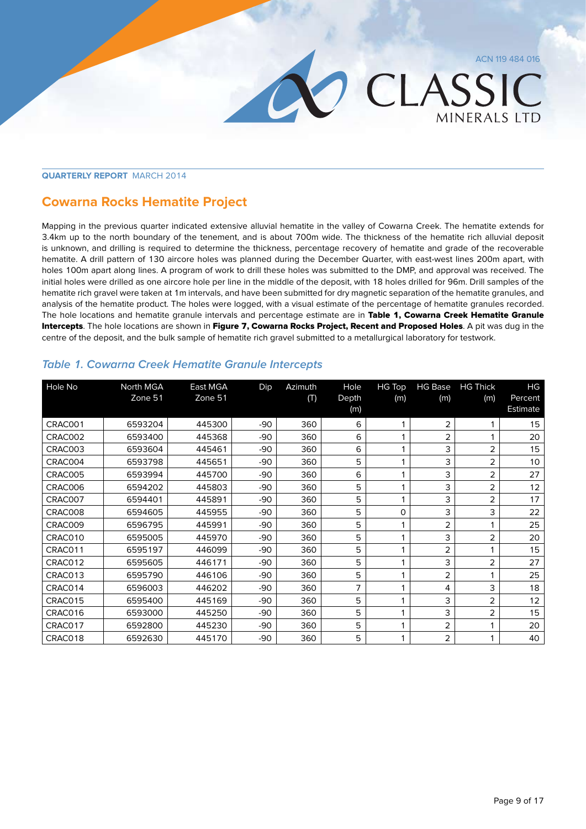MINERALS LTD

CLASSIC

#### **Quarterly Report** March 2014

#### **Cowarna Rocks Hematite Project**

Mapping in the previous quarter indicated extensive alluvial hematite in the valley of Cowarna Creek. The hematite extends for 3.4km up to the north boundary of the tenement, and is about 700m wide. The thickness of the hematite rich alluvial deposit is unknown, and drilling is required to determine the thickness, percentage recovery of hematite and grade of the recoverable hematite. A drill pattern of 130 aircore holes was planned during the December Quarter, with east-west lines 200m apart, with holes 100m apart along lines. A program of work to drill these holes was submitted to the DMP, and approval was received. The initial holes were drilled as one aircore hole per line in the middle of the deposit, with 18 holes drilled for 96m. Drill samples of the hematite rich gravel were taken at 1m intervals, and have been submitted for dry magnetic separation of the hematite granules, and analysis of the hematite product. The holes were logged, with a visual estimate of the percentage of hematite granules recorded. The hole locations and hematite granule intervals and percentage estimate are in Table 1, Cowarna Creek Hematite Granule Intercepts. The hole locations are shown in Figure 7, Cowarna Rocks Project, Recent and Proposed Holes. A pit was dug in the centre of the deposit, and the bulk sample of hematite rich gravel submitted to a metallurgical laboratory for testwork.

| Hole No | North MGA | East MGA | Dip   | Azimuth | Hole  | <b>HG Top</b> | <b>HG Base</b> | <b>HG Thick</b> | HG       |
|---------|-----------|----------|-------|---------|-------|---------------|----------------|-----------------|----------|
|         | Zone 51   | Zone 51  |       | (T)     | Depth | (m)           | (m)            | (m)             | Percent  |
|         |           |          |       |         | (m)   |               |                |                 | Estimate |
| CRAC001 | 6593204   | 445300   | -90   | 360     | 6     |               | 2              |                 | 15       |
| CRAC002 | 6593400   | 445368   | $-90$ | 360     | 6     |               | 2              |                 | 20       |
| CRAC003 | 6593604   | 445461   | $-90$ | 360     | 6     |               | 3              | $\overline{2}$  | 15       |
| CRAC004 | 6593798   | 445651   | $-90$ | 360     | 5     |               | 3              | 2               | 10       |
| CRAC005 | 6593994   | 445700   | $-90$ | 360     | 6     |               | 3              | 2               | 27       |
| CRAC006 | 6594202   | 445803   | $-90$ | 360     | 5     |               | 3              | 2               | 12       |
| CRAC007 | 6594401   | 445891   | $-90$ | 360     | 5     |               | 3              | $\overline{2}$  | 17       |
| CRAC008 | 6594605   | 445955   | -90   | 360     | 5     | 0             | 3              | 3               | 22       |
| CRAC009 | 6596795   | 445991   | -90   | 360     | 5     |               | 2              |                 | 25       |
| CRAC010 | 6595005   | 445970   | $-90$ | 360     | 5     |               | 3              | 2               | 20       |
| CRAC011 | 6595197   | 446099   | -90   | 360     | 5     |               | 2              |                 | 15       |
| CRAC012 | 6595605   | 446171   | -90   | 360     | 5     |               | 3              | 2               | 27       |
| CRAC013 | 6595790   | 446106   | -90   | 360     | 5     |               | 2              |                 | 25       |
| CRAC014 | 6596003   | 446202   | $-90$ | 360     | 7     |               | 4              | 3               | 18       |
| CRAC015 | 6595400   | 445169   | -90   | 360     | 5     |               | 3              | 2               | 12       |
| CRAC016 | 6593000   | 445250   | -90   | 360     | 5     |               | 3              | $\overline{2}$  | 15       |
| CRAC017 | 6592800   | 445230   | -90   | 360     | 5     |               | 2              |                 | 20       |
| CRAC018 | 6592630   | 445170   | -90   | 360     | 5     |               | 2              |                 | 40       |

#### **Table 1. Cowarna Creek Hematite Granule Intercepts**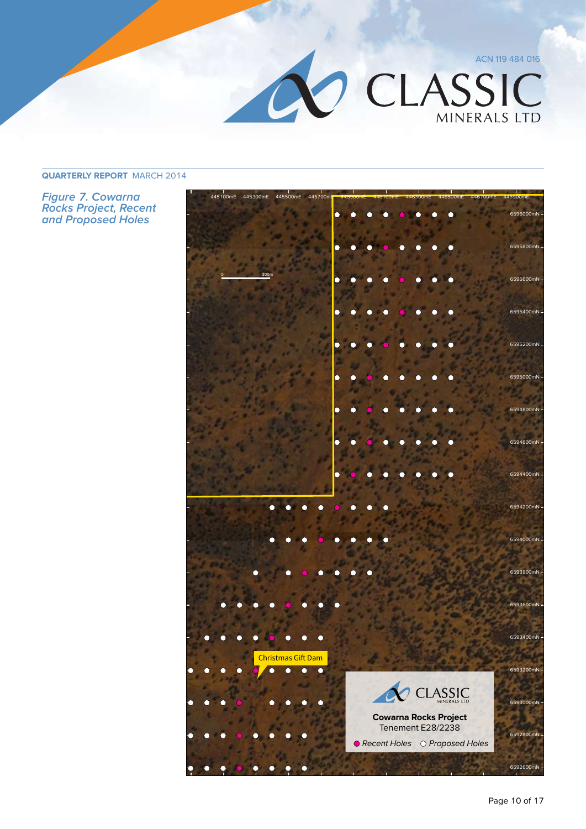

**Figure 7. Cowarna Rocks Project, Recent and Proposed Holes**

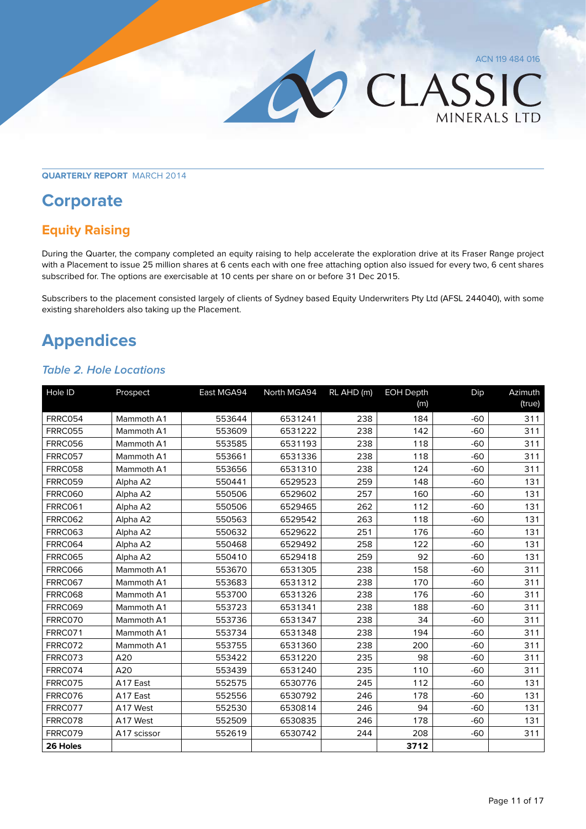## **CLASSIC**

MINERALS LTD

**Quarterly Report** March 2014

#### **Corporate**

#### **Equity Raising**

During the Quarter, the company completed an equity raising to help accelerate the exploration drive at its Fraser Range project with a Placement to issue 25 million shares at 6 cents each with one free attaching option also issued for every two, 6 cent shares subscribed for. The options are exercisable at 10 cents per share on or before 31 Dec 2015.

Subscribers to the placement consisted largely of clients of Sydney based Equity Underwriters Pty Ltd (AFSL 244040), with some existing shareholders also taking up the Placement.

#### **Appendices**

#### **Table 2. Hole Locations**

| Hole ID        | Prospect    | East MGA94 | North MGA94 | RL AHD (m) | <b>EOH Depth</b> | Dip   | Azimuth |
|----------------|-------------|------------|-------------|------------|------------------|-------|---------|
|                |             |            |             |            | (m)              |       | (true)  |
| FRRC054        | Mammoth A1  | 553644     | 6531241     | 238        | 184              | $-60$ | 311     |
| <b>FRRC055</b> | Mammoth A1  | 553609     | 6531222     | 238        | 142              | $-60$ | 311     |
| <b>FRRC056</b> | Mammoth A1  | 553585     | 6531193     | 238        | 118              | $-60$ | 311     |
| <b>FRRC057</b> | Mammoth A1  | 553661     | 6531336     | 238        | 118              | $-60$ | 311     |
| <b>FRRC058</b> | Mammoth A1  | 553656     | 6531310     | 238        | 124              | $-60$ | 311     |
| <b>FRRC059</b> | Alpha A2    | 550441     | 6529523     | 259        | 148              | $-60$ | 131     |
| <b>FRRC060</b> | Alpha A2    | 550506     | 6529602     | 257        | 160              | $-60$ | 131     |
| <b>FRRC061</b> | Alpha A2    | 550506     | 6529465     | 262        | 112              | $-60$ | 131     |
| <b>FRRC062</b> | Alpha A2    | 550563     | 6529542     | 263        | 118              | $-60$ | 131     |
| <b>FRRC063</b> | Alpha A2    | 550632     | 6529622     | 251        | 176              | $-60$ | 131     |
| FRRC064        | Alpha A2    | 550468     | 6529492     | 258        | 122              | $-60$ | 131     |
| <b>FRRC065</b> | Alpha A2    | 550410     | 6529418     | 259        | 92               | $-60$ | 131     |
| <b>FRRC066</b> | Mammoth A1  | 553670     | 6531305     | 238        | 158              | $-60$ | 311     |
| <b>FRRC067</b> | Mammoth A1  | 553683     | 6531312     | 238        | 170              | $-60$ | 311     |
| <b>FRRC068</b> | Mammoth A1  | 553700     | 6531326     | 238        | 176              | $-60$ | 311     |
| <b>FRRC069</b> | Mammoth A1  | 553723     | 6531341     | 238        | 188              | $-60$ | 311     |
| FRRC070        | Mammoth A1  | 553736     | 6531347     | 238        | 34               | $-60$ | 311     |
| FRRC071        | Mammoth A1  | 553734     | 6531348     | 238        | 194              | $-60$ | 311     |
| FRRC072        | Mammoth A1  | 553755     | 6531360     | 238        | 200              | $-60$ | 311     |
| FRRC073        | A20         | 553422     | 6531220     | 235        | 98               | $-60$ | 311     |
| FRRC074        | A20         | 553439     | 6531240     | 235        | 110              | $-60$ | 311     |
| FRRC075        | A17 East    | 552575     | 6530776     | 245        | 112              | $-60$ | 131     |
| FRRC076        | A17 East    | 552556     | 6530792     | 246        | 178              | $-60$ | 131     |
| FRRC077        | A17 West    | 552530     | 6530814     | 246        | 94               | $-60$ | 131     |
| FRRC078        | A17 West    | 552509     | 6530835     | 246        | 178              | $-60$ | 131     |
| FRRC079        | A17 scissor | 552619     | 6530742     | 244        | 208              | $-60$ | 311     |
| 26 Holes       |             |            |             |            | 3712             |       |         |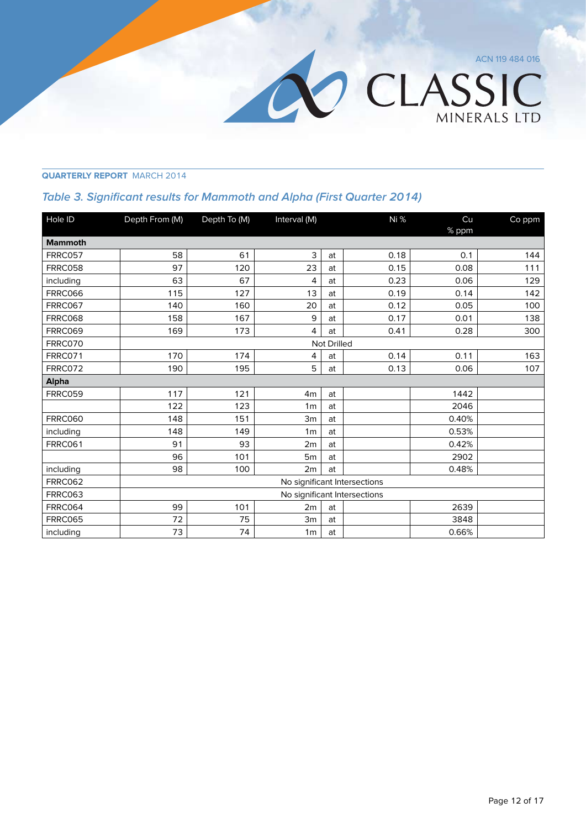OCLASSIC

MINERALS LTD

**Quarterly Report** March 2014

#### **Table 3. Significant results for Mammoth and Alpha (First Quarter 2014)**

| Hole ID        | Depth From (M) | Depth To (M) | Interval (M)   |                    | Ni %                         | Cu    | Co ppm |
|----------------|----------------|--------------|----------------|--------------------|------------------------------|-------|--------|
|                |                |              |                |                    |                              | % ppm |        |
| <b>Mammoth</b> |                |              |                |                    |                              |       |        |
| FRRC057        | 58             | 61           | 3              | at                 | 0.18                         | 0.1   | 144    |
| FRRC058        | 97             | 120          | 23             | at                 | 0.15                         | 0.08  | 111    |
| including      | 63             | 67           | 4              | at                 | 0.23                         | 0.06  | 129    |
| <b>FRRC066</b> | 115            | 127          | 13             | at                 | 0.19                         | 0.14  | 142    |
| <b>FRRC067</b> | 140            | 160          | 20             | at                 | 0.12                         | 0.05  | 100    |
| FRRC068        | 158            | 167          | 9              | at                 | 0.17                         | 0.01  | 138    |
| <b>FRRC069</b> | 169            | 173          | 4              | at                 | 0.41                         | 0.28  | 300    |
| FRRC070        |                |              |                | <b>Not Drilled</b> |                              |       |        |
| FRRC071        | 170            | 174          | 4              | at                 | 0.14                         | 0.11  | 163    |
| FRRC072        | 190            | 195          | 5              | at                 | 0.13                         | 0.06  | 107    |
| <b>Alpha</b>   |                |              |                |                    |                              |       |        |
| FRRC059        | 117            | 121          | 4 <sub>m</sub> | at                 |                              | 1442  |        |
|                | 122            | 123          | 1 <sub>m</sub> | at                 |                              | 2046  |        |
| <b>FRRC060</b> | 148            | 151          | 3m             | at                 |                              | 0.40% |        |
| including      | 148            | 149          | 1 <sub>m</sub> | at                 |                              | 0.53% |        |
| <b>FRRC061</b> | 91             | 93           | 2m             | at                 |                              | 0.42% |        |
|                | 96             | 101          | 5 <sub>m</sub> | at                 |                              | 2902  |        |
| including      | 98             | 100          | 2m             | at                 |                              | 0.48% |        |
| <b>FRRC062</b> |                |              |                |                    | No significant Intersections |       |        |
| <b>FRRC063</b> |                |              |                |                    | No significant Intersections |       |        |
| FRRC064        | 99             | 101          | 2m             | at                 |                              | 2639  |        |
| FRRC065        | 72             | 75           | 3m             | at                 |                              | 3848  |        |
| including      | 73             | 74           | 1 <sub>m</sub> | at                 |                              | 0.66% |        |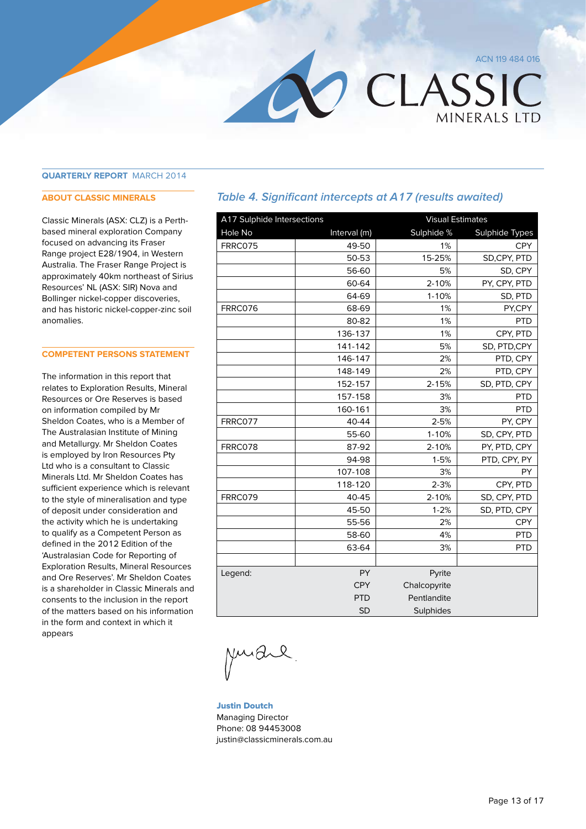MINFRAIS ITD

CLASSIC

**Quarterly Report** March 2014

#### **ABOUT CLASSIC MINERALS**

Classic Minerals (ASX: CLZ) is a Perthbased mineral exploration Company focused on advancing its Fraser Range project E28/1904, in Western Australia. The Fraser Range Project is approximately 40km northeast of Sirius Resources' NL (ASX: SIR) Nova and Bollinger nickel-copper discoveries, and has historic nickel-copper-zinc soil anomalies.

#### **COMPETENT PERSONS STATEMENT**

The information in this report that relates to Exploration Results, Mineral Resources or Ore Reserves is based on information compiled by Mr Sheldon Coates, who is a Member of The Australasian Institute of Mining and Metallurgy. Mr Sheldon Coates is employed by Iron Resources Pty Ltd who is a consultant to Classic Minerals Ltd. Mr Sheldon Coates has sufficient experience which is relevant to the style of mineralisation and type of deposit under consideration and the activity which he is undertaking to qualify as a Competent Person as defined in the 2012 Edition of the 'Australasian Code for Reporting of Exploration Results, Mineral Resources and Ore Reserves'. Mr Sheldon Coates is a shareholder in Classic Minerals and consents to the inclusion in the report of the matters based on his information in the form and context in which it appears

#### **Table 4. Significant intercepts at A17 (results awaited)**

| A17 Sulphide Intersections |              | <b>Visual Estimates</b> |                       |  |
|----------------------------|--------------|-------------------------|-----------------------|--|
| Hole No                    | Interval (m) | Sulphide %              | <b>Sulphide Types</b> |  |
| FRRC075                    | 49-50        | 1%                      | <b>CPY</b>            |  |
|                            | 50-53        | 15-25%                  | SD,CPY, PTD           |  |
|                            | 56-60        | 5%                      | SD, CPY               |  |
|                            | 60-64        | $2 - 10%$               | PY, CPY, PTD          |  |
|                            | 64-69        | $1 - 10%$               | SD, PTD               |  |
| FRRC076                    | 68-69        | 1%                      | PY,CPY                |  |
|                            | 80-82        | 1%                      | <b>PTD</b>            |  |
|                            | 136-137      | 1%                      | CPY, PTD              |  |
|                            | 141-142      | 5%                      | SD, PTD, CPY          |  |
|                            | 146-147      | 2%                      | PTD, CPY              |  |
|                            | 148-149      | 2%                      | PTD, CPY              |  |
|                            | 152-157      | $2 - 15%$               | SD, PTD, CPY          |  |
|                            | 157-158      | 3%                      | <b>PTD</b>            |  |
|                            | 160-161      | 3%                      | <b>PTD</b>            |  |
| FRRC077                    | 40-44        | $2 - 5%$                | PY, CPY               |  |
|                            | 55-60        | $1 - 10%$               | SD, CPY, PTD          |  |
| FRRC078                    | 87-92        | 2-10%                   | PY, PTD, CPY          |  |
|                            | 94-98        | $1 - 5%$                | PTD, CPY, PY          |  |
|                            | 107-108      | 3%                      | PY                    |  |
|                            | 118-120      | $2 - 3%$                | CPY, PTD              |  |
| FRRC079                    | 40-45        | 2-10%                   | SD, CPY, PTD          |  |
|                            | 45-50        | $1 - 2%$                | SD, PTD, CPY          |  |
|                            | 55-56        | 2%                      | <b>CPY</b>            |  |
|                            | 58-60        | 4%                      | <b>PTD</b>            |  |
|                            | 63-64        | 3%                      | <b>PTD</b>            |  |
|                            |              |                         |                       |  |
| Legend:                    | PY           | Pyrite                  |                       |  |
|                            | <b>CPY</b>   | Chalcopyrite            |                       |  |
|                            | <b>PTD</b>   | Pentlandite             |                       |  |
|                            | <b>SD</b>    | Sulphides               |                       |  |

Justin Doutch Managing Director Phone: 08 94453008 justin@classicminerals.com.au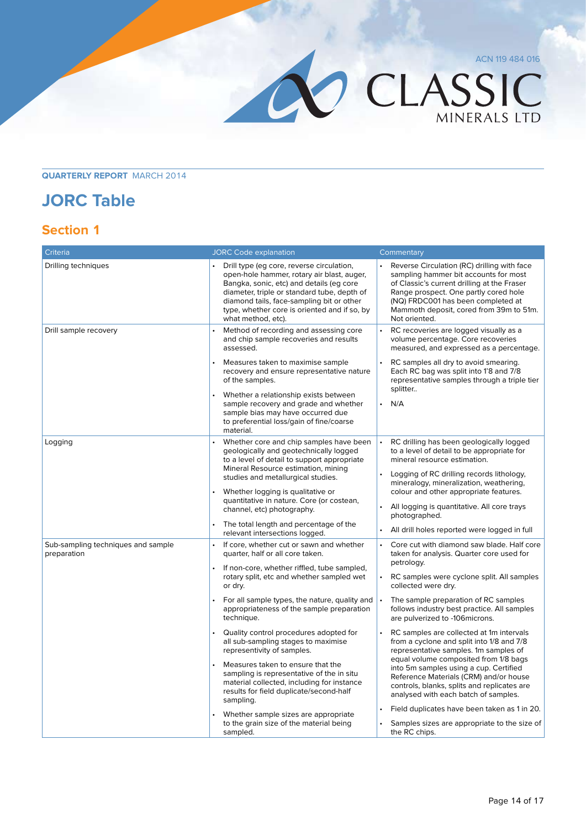OCLASSIC MINERALS LTD

#### **Quarterly Report** March 2014

#### **JORC Table**

#### **Section 1**

| Criteria                                          | <b>JORC Code explanation</b>                                                                                                                                                                                                                                                                          | Commentary                                                                                                                                                                                                                                                                     |
|---------------------------------------------------|-------------------------------------------------------------------------------------------------------------------------------------------------------------------------------------------------------------------------------------------------------------------------------------------------------|--------------------------------------------------------------------------------------------------------------------------------------------------------------------------------------------------------------------------------------------------------------------------------|
| Drilling techniques                               | Drill type (eg core, reverse circulation,<br>open-hole hammer, rotary air blast, auger,<br>Bangka, sonic, etc) and details (eg core<br>diameter, triple or standard tube, depth of<br>diamond tails, face-sampling bit or other<br>type, whether core is oriented and if so, by<br>what method, etc). | Reverse Circulation (RC) drilling with face<br>sampling hammer bit accounts for most<br>of Classic's current drilling at the Fraser<br>Range prospect. One partly cored hole<br>(NQ) FRDC001 has been completed at<br>Mammoth deposit, cored from 39m to 51m.<br>Not oriented. |
| Drill sample recovery                             | Method of recording and assessing core<br>and chip sample recoveries and results<br>assessed.                                                                                                                                                                                                         | RC recoveries are logged visually as a<br>volume percentage. Core recoveries<br>measured, and expressed as a percentage.                                                                                                                                                       |
|                                                   | Measures taken to maximise sample<br>recovery and ensure representative nature<br>of the samples.                                                                                                                                                                                                     | RC samples all dry to avoid smearing.<br>Each RC bag was split into 1'8 and 7/8<br>representative samples through a triple tier                                                                                                                                                |
|                                                   | Whether a relationship exists between<br>sample recovery and grade and whether<br>sample bias may have occurred due<br>to preferential loss/gain of fine/coarse<br>material.                                                                                                                          | splitter<br>N/A<br>$\bullet$                                                                                                                                                                                                                                                   |
| Logging                                           | Whether core and chip samples have been<br>geologically and geotechnically logged<br>to a level of detail to support appropriate                                                                                                                                                                      | RC drilling has been geologically logged<br>to a level of detail to be appropriate for<br>mineral resource estimation.                                                                                                                                                         |
|                                                   | Mineral Resource estimation, mining<br>studies and metallurgical studies.<br>Whether logging is qualitative or                                                                                                                                                                                        | Logging of RC drilling records lithology,<br>mineralogy, mineralization, weathering,<br>colour and other appropriate features.                                                                                                                                                 |
|                                                   | quantitative in nature. Core (or costean,<br>channel, etc) photography.                                                                                                                                                                                                                               | All logging is quantitative. All core trays<br>photographed.                                                                                                                                                                                                                   |
|                                                   | The total length and percentage of the<br>$\ddot{\phantom{0}}$<br>relevant intersections logged.                                                                                                                                                                                                      | All drill holes reported were logged in full                                                                                                                                                                                                                                   |
| Sub-sampling techniques and sample<br>preparation | If core, whether cut or sawn and whether<br>quarter, half or all core taken.                                                                                                                                                                                                                          | Core cut with diamond saw blade. Half core<br>taken for analysis. Quarter core used for<br>petrology.                                                                                                                                                                          |
|                                                   | If non-core, whether riffled, tube sampled,<br>rotary split, etc and whether sampled wet<br>or dry.                                                                                                                                                                                                   | RC samples were cyclone split. All samples<br>$\bullet$<br>collected were dry.                                                                                                                                                                                                 |
|                                                   | For all sample types, the nature, quality and<br>appropriateness of the sample preparation<br>technique.                                                                                                                                                                                              | The sample preparation of RC samples<br>follows industry best practice. All samples<br>are pulverized to -106 microns.                                                                                                                                                         |
|                                                   | Quality control procedures adopted for<br>all sub-sampling stages to maximise<br>representivity of samples.                                                                                                                                                                                           | RC samples are collected at 1m intervals<br>from a cyclone and split into 1/8 and 7/8<br>representative samples. 1m samples of                                                                                                                                                 |
|                                                   | Measures taken to ensure that the<br>sampling is representative of the in situ<br>material collected, including for instance<br>results for field duplicate/second-half<br>sampling.                                                                                                                  | equal volume composited from 1/8 bags<br>into 5m samples using a cup. Certified<br>Reference Materials (CRM) and/or house<br>controls, blanks, splits and replicates are<br>analysed with each batch of samples.                                                               |
|                                                   | Whether sample sizes are appropriate<br>to the grain size of the material being<br>sampled.                                                                                                                                                                                                           | Field duplicates have been taken as 1 in 20.<br>$\bullet$<br>Samples sizes are appropriate to the size of<br>the RC chips.                                                                                                                                                     |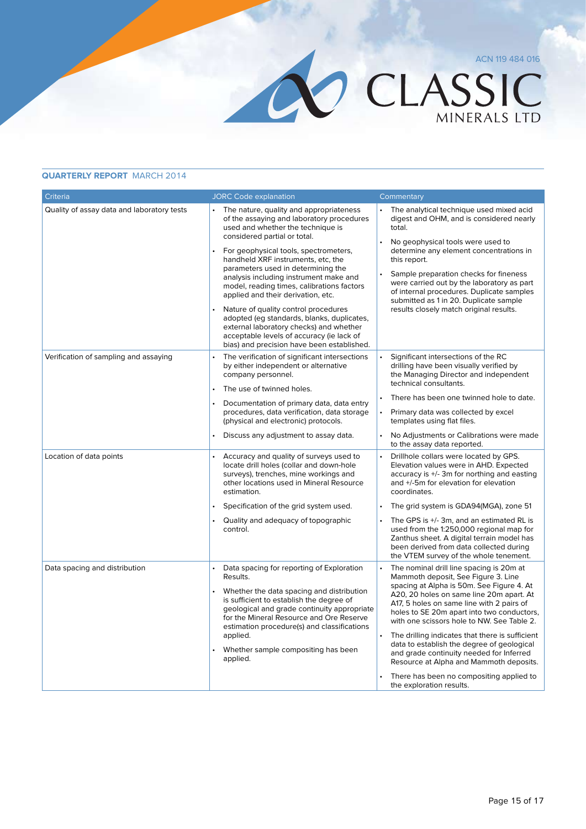#### **Quarterly Report** March 2014

| Criteria                                   | <b>JORC Code explanation</b>                                                                                                                                                                                                                                                                                                                                                                                                                                                                                                                                                                                                             | Commentary                                                                                                                                                                                                                                                                                                                                                                                                                                                                                                                                                                                                |
|--------------------------------------------|------------------------------------------------------------------------------------------------------------------------------------------------------------------------------------------------------------------------------------------------------------------------------------------------------------------------------------------------------------------------------------------------------------------------------------------------------------------------------------------------------------------------------------------------------------------------------------------------------------------------------------------|-----------------------------------------------------------------------------------------------------------------------------------------------------------------------------------------------------------------------------------------------------------------------------------------------------------------------------------------------------------------------------------------------------------------------------------------------------------------------------------------------------------------------------------------------------------------------------------------------------------|
| Quality of assay data and laboratory tests | The nature, quality and appropriateness<br>of the assaying and laboratory procedures<br>used and whether the technique is<br>considered partial or total.<br>For geophysical tools, spectrometers,<br>handheld XRF instruments, etc, the<br>parameters used in determining the<br>analysis including instrument make and<br>model, reading times, calibrations factors<br>applied and their derivation, etc.<br>Nature of quality control procedures<br>adopted (eg standards, blanks, duplicates,<br>external laboratory checks) and whether<br>acceptable levels of accuracy (ie lack of<br>bias) and precision have been established. | The analytical technique used mixed acid<br>digest and OHM, and is considered nearly<br>total.<br>No geophysical tools were used to<br>$\bullet$<br>determine any element concentrations in<br>this report.<br>Sample preparation checks for fineness<br>were carried out by the laboratory as part<br>of internal procedures. Duplicate samples<br>submitted as 1 in 20. Duplicate sample<br>results closely match original results.                                                                                                                                                                     |
| Verification of sampling and assaying      | The verification of significant intersections<br>by either independent or alternative<br>company personnel.<br>The use of twinned holes.<br>Documentation of primary data, data entry<br>procedures, data verification, data storage<br>(physical and electronic) protocols.<br>Discuss any adjustment to assay data.                                                                                                                                                                                                                                                                                                                    | $\bullet$<br>Significant intersections of the RC<br>drilling have been visually verified by<br>the Managing Director and independent<br>technical consultants.<br>There has been one twinned hole to date.<br>$\ddot{\phantom{0}}$<br>Primary data was collected by excel<br>templates using flat files.<br>No Adjustments or Calibrations were made<br>to the assay data reported.                                                                                                                                                                                                                       |
| Location of data points                    | Accuracy and quality of surveys used to<br>locate drill holes (collar and down-hole<br>surveys), trenches, mine workings and<br>other locations used in Mineral Resource<br>estimation.<br>Specification of the grid system used.<br>$\bullet$<br>Quality and adequacy of topographic<br>control.                                                                                                                                                                                                                                                                                                                                        | Drillhole collars were located by GPS.<br>Elevation values were in AHD. Expected<br>accuracy is +/- 3m for northing and easting<br>and +/-5m for elevation for elevation<br>coordinates.<br>The grid system is GDA94(MGA), zone 51<br>$\bullet$<br>The GPS is +/- 3m, and an estimated RL is<br>$\bullet$<br>used from the 1:250,000 regional map for<br>Zanthus sheet. A digital terrain model has<br>been derived from data collected during<br>the VTEM survey of the whole tenement.                                                                                                                  |
| Data spacing and distribution              | Data spacing for reporting of Exploration<br>Results.<br>Whether the data spacing and distribution<br>is sufficient to establish the degree of<br>geological and grade continuity appropriate<br>for the Mineral Resource and Ore Reserve<br>estimation procedure(s) and classifications<br>applied.<br>Whether sample compositing has been<br>applied.                                                                                                                                                                                                                                                                                  | $\ddot{\phantom{0}}$<br>The nominal drill line spacing is 20m at<br>Mammoth deposit, See Figure 3. Line<br>spacing at Alpha is 50m. See Figure 4. At<br>A20, 20 holes on same line 20m apart. At<br>A17, 5 holes on same line with 2 pairs of<br>holes to SE 20m apart into two conductors,<br>with one scissors hole to NW. See Table 2.<br>The drilling indicates that there is sufficient<br>data to establish the degree of geological<br>and grade continuity needed for Inferred<br>Resource at Alpha and Mammoth deposits.<br>There has been no compositing applied to<br>the exploration results. |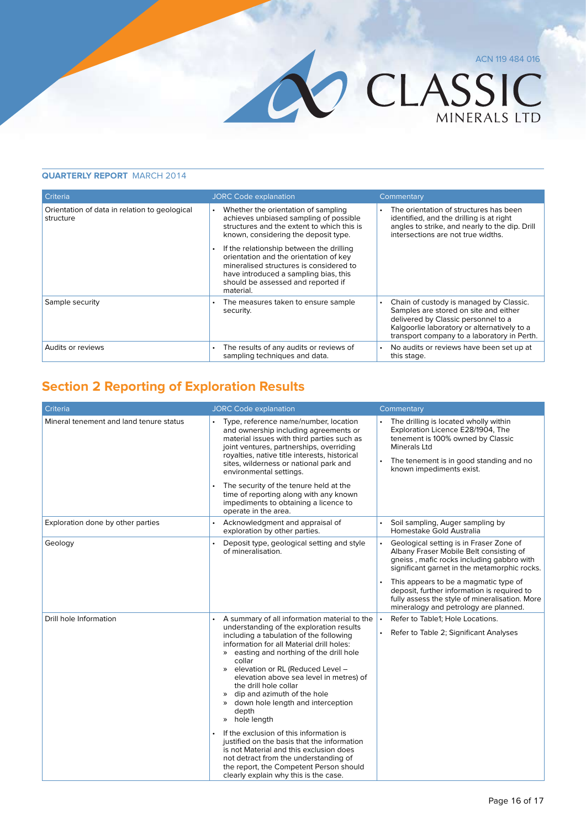# CLASSIC

#### **Quarterly Report** March 2014

| Criteria                                                   | <b>JORC Code explanation</b>                                                                                                                                                                                                                                                                                                                                                                                  | Commentary                                                                                                                                                                                                                         |
|------------------------------------------------------------|---------------------------------------------------------------------------------------------------------------------------------------------------------------------------------------------------------------------------------------------------------------------------------------------------------------------------------------------------------------------------------------------------------------|------------------------------------------------------------------------------------------------------------------------------------------------------------------------------------------------------------------------------------|
| Orientation of data in relation to geological<br>structure | Whether the orientation of sampling<br>achieves unbiased sampling of possible<br>structures and the extent to which this is<br>known, considering the deposit type.<br>If the relationship between the drilling<br>$\bullet$<br>orientation and the orientation of key<br>mineralised structures is considered to<br>have introduced a sampling bias, this<br>should be assessed and reported if<br>material. | The orientation of structures has been<br>identified, and the drilling is at right<br>angles to strike, and nearly to the dip. Drill<br>intersections are not true widths.                                                         |
| Sample security                                            | The measures taken to ensure sample<br>security.                                                                                                                                                                                                                                                                                                                                                              | Chain of custody is managed by Classic.<br>$\bullet$<br>Samples are stored on site and either<br>delivered by Classic personnel to a<br>Kalgoorlie laboratory or alternatively to a<br>transport company to a laboratory in Perth. |
| Audits or reviews                                          | The results of any audits or reviews of<br>sampling techniques and data.                                                                                                                                                                                                                                                                                                                                      | No audits or reviews have been set up at<br>$\bullet$<br>this stage.                                                                                                                                                               |

#### **Section 2 Reporting of Exploration Results**

| Criteria                                | <b>JORC Code explanation</b>                                                                                                                                                                                                                                                                                                                                                                                                                                                   | Commentary                                                                                                                                                                                                                                                                                        |
|-----------------------------------------|--------------------------------------------------------------------------------------------------------------------------------------------------------------------------------------------------------------------------------------------------------------------------------------------------------------------------------------------------------------------------------------------------------------------------------------------------------------------------------|---------------------------------------------------------------------------------------------------------------------------------------------------------------------------------------------------------------------------------------------------------------------------------------------------|
| Mineral tenement and land tenure status | Type, reference name/number, location<br>and ownership including agreements or<br>material issues with third parties such as<br>joint ventures, partnerships, overriding<br>royalties, native title interests, historical<br>sites, wilderness or national park and<br>environmental settings.<br>The security of the tenure held at the<br>$\bullet$<br>time of reporting along with any known<br>impediments to obtaining a licence to<br>operate in the area.               | The drilling is located wholly within<br>Exploration Licence E28/1904, The<br>tenement is 100% owned by Classic<br>Minerals Ltd<br>The tenement is in good standing and no<br>known impediments exist.                                                                                            |
| Exploration done by other parties       | Acknowledgment and appraisal of<br>exploration by other parties.                                                                                                                                                                                                                                                                                                                                                                                                               | Soil sampling, Auger sampling by<br>Homestake Gold Australia                                                                                                                                                                                                                                      |
| Geology                                 | Deposit type, geological setting and style<br>of mineralisation.                                                                                                                                                                                                                                                                                                                                                                                                               | Geological setting is in Fraser Zone of<br>$\bullet$<br>Albany Fraser Mobile Belt consisting of<br>gneiss, mafic rocks including gabbro with<br>significant garnet in the metamorphic rocks.<br>This appears to be a magmatic type of<br>$\bullet$<br>deposit, further information is required to |
|                                         |                                                                                                                                                                                                                                                                                                                                                                                                                                                                                | fully assess the style of mineralisation. More<br>mineralogy and petrology are planned.                                                                                                                                                                                                           |
| Drill hole Information                  | A summary of all information material to the<br>understanding of the exploration results<br>including a tabulation of the following<br>information for all Material drill holes:<br>» easting and northing of the drill hole<br>collar<br>elevation or RL (Reduced Level -<br>$\gg$<br>elevation above sea level in metres) of<br>the drill hole collar<br>dip and azimuth of the hole<br>$\gg$<br>down hole length and interception<br>$\gg$<br>depth<br>hole length<br>$\gg$ | Refer to Table1: Hole Locations.<br>$\bullet$<br>Refer to Table 2; Significant Analyses                                                                                                                                                                                                           |
|                                         | If the exclusion of this information is<br>justified on the basis that the information<br>is not Material and this exclusion does<br>not detract from the understanding of<br>the report, the Competent Person should<br>clearly explain why this is the case.                                                                                                                                                                                                                 |                                                                                                                                                                                                                                                                                                   |